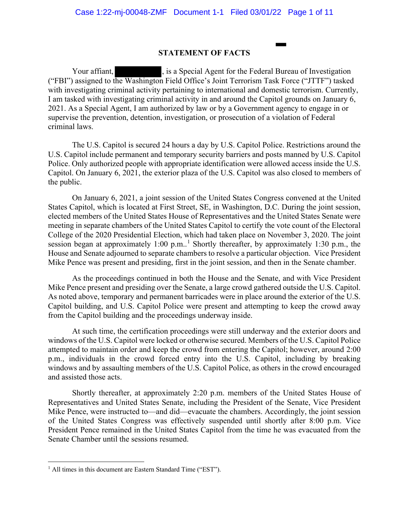## **STATEMENT OF FACTS**

Your affiant, Solution is a Special Agent for the Federal Bureau of Investigation ("FBI") assigned to the Washington Field Office's Joint Terrorism Task Force ("JTTF") tasked with investigating criminal activity pertaining to international and domestic terrorism. Currently, I am tasked with investigating criminal activity in and around the Capitol grounds on January 6, 2021. As a Special Agent, I am authorized by law or by a Government agency to engage in or supervise the prevention, detention, investigation, or prosecution of a violation of Federal criminal laws.

The U.S. Capitol is secured 24 hours a day by U.S. Capitol Police. Restrictions around the U.S. Capitol include permanent and temporary security barriers and posts manned by U.S. Capitol Police. Only authorized people with appropriate identification were allowed access inside the U.S. Capitol. On January 6, 2021, the exterior plaza of the U.S. Capitol was also closed to members of the public.

On January 6, 2021, a joint session of the United States Congress convened at the United States Capitol, which is located at First Street, SE, in Washington, D.C. During the joint session, elected members of the United States House of Representatives and the United States Senate were meeting in separate chambers of the United States Capitol to certify the vote count of the Electoral College of the 2020 Presidential Election, which had taken place on November 3, 2020. The joint session began at approximately [1](#page-0-0):00 p.m..<sup>1</sup> Shortly thereafter, by approximately 1:30 p.m., the House and Senate adjourned to separate chambers to resolve a particular objection. Vice President Mike Pence was present and presiding, first in the joint session, and then in the Senate chamber.

As the proceedings continued in both the House and the Senate, and with Vice President Mike Pence present and presiding over the Senate, a large crowd gathered outside the U.S. Capitol. As noted above, temporary and permanent barricades were in place around the exterior of the U.S. Capitol building, and U.S. Capitol Police were present and attempting to keep the crowd away from the Capitol building and the proceedings underway inside.

At such time, the certification proceedings were still underway and the exterior doors and windows of the U.S. Capitol were locked or otherwise secured. Members of the U.S. Capitol Police attempted to maintain order and keep the crowd from entering the Capitol; however, around 2:00 p.m., individuals in the crowd forced entry into the U.S. Capitol, including by breaking windows and by assaulting members of the U.S. Capitol Police, as others in the crowd encouraged and assisted those acts.

Shortly thereafter, at approximately 2:20 p.m. members of the United States House of Representatives and United States Senate, including the President of the Senate, Vice President Mike Pence, were instructed to—and did—evacuate the chambers. Accordingly, the joint session of the United States Congress was effectively suspended until shortly after 8:00 p.m. Vice President Pence remained in the United States Capitol from the time he was evacuated from the Senate Chamber until the sessions resumed.

<span id="page-0-0"></span><sup>&</sup>lt;sup>1</sup> All times in this document are Eastern Standard Time ("EST").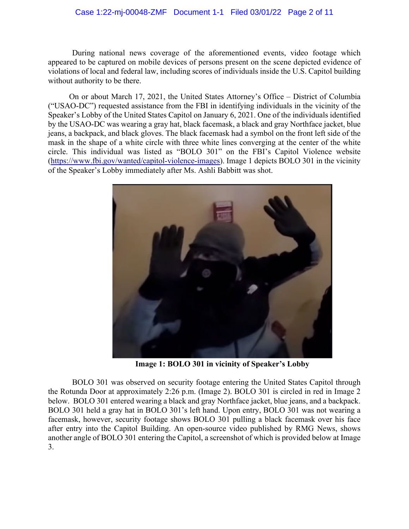## Case 1:22-mj-00048-ZMF Document 1-1 Filed 03/01/22 Page 2 of 11

During national news coverage of the aforementioned events, video footage which appeared to be captured on mobile devices of persons present on the scene depicted evidence of violations of local and federal law, including scores of individuals inside the U.S. Capitol building without authority to be there.

On or about March 17, 2021, the United States Attorney's Office – District of Columbia ("USAO-DC") requested assistance from the FBI in identifying individuals in the vicinity of the Speaker's Lobby of the United States Capitol on January 6, 2021. One of the individuals identified by the USAO-DC was wearing a gray hat, black facemask, a black and gray Northface jacket, blue jeans, a backpack, and black gloves. The black facemask had a symbol on the front left side of the mask in the shape of a white circle with three white lines converging at the center of the white circle. This individual was listed as "BOLO 301" on the FBI's Capitol Violence website [\(https://www.fbi.gov/wanted/capitol-violence-images\)](https://www.fbi.gov/wanted/capitol-violence-images). Image 1 depicts BOLO 301 in the vicinity of the Speaker's Lobby immediately after Ms. Ashli Babbitt was shot.



**Image 1: BOLO 301 in vicinity of Speaker's Lobby**

BOLO 301 was observed on security footage entering the United States Capitol through the Rotunda Door at approximately 2:26 p.m. (Image 2). BOLO 301 is circled in red in Image 2 below. BOLO 301 entered wearing a black and gray Northface jacket, blue jeans, and a backpack. BOLO 301 held a gray hat in BOLO 301's left hand. Upon entry, BOLO 301 was not wearing a facemask, however, security footage shows BOLO 301 pulling a black facemask over his face after entry into the Capitol Building. An open-source video published by RMG News, shows another angle of BOLO 301 entering the Capitol, a screenshot of which is provided below at Image 3.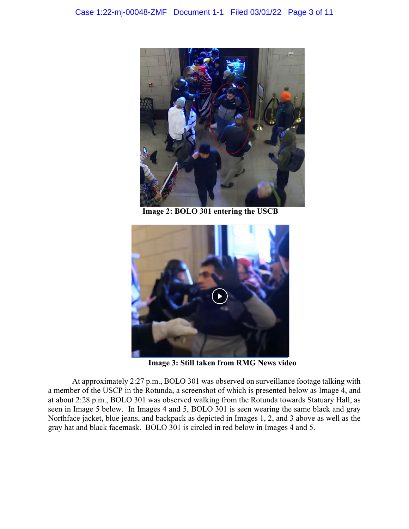

**Image 2: BOLO 301 entering the USCB**



**Image 3: Still taken from RMG News video**

At approximately 2:27 p.m., BOLO 301 was observed on surveillance footage talking with a member of the USCP in the Rotunda, a screenshot of which is presented below as Image 4, and at about 2:28 p.m., BOLO 301 was observed walking from the Rotunda towards Statuary Hall, as seen in Image 5 below. In Images 4 and 5, BOLO 301 is seen wearing the same black and gray Northface jacket, blue jeans, and backpack as depicted in Images 1, 2, and 3 above as well as the gray hat and black facemask. BOLO 301 is circled in red below in Images 4 and 5.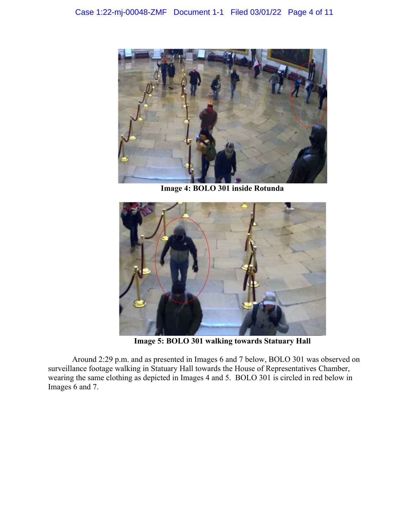

**Image 4: BOLO 301 inside Rotunda**



**Image 5: BOLO 301 walking towards Statuary Hall**

Around 2:29 p.m. and as presented in Images 6 and 7 below, BOLO 301 was observed on surveillance footage walking in Statuary Hall towards the House of Representatives Chamber, wearing the same clothing as depicted in Images 4 and 5. BOLO 301 is circled in red below in Images 6 and 7.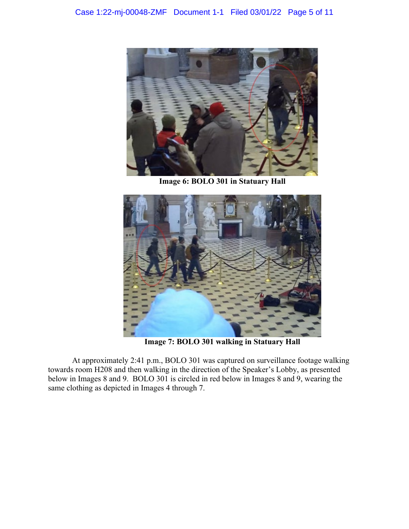

**Image 6: BOLO 301 in Statuary Hall**



**Image 7: BOLO 301 walking in Statuary Hall**

At approximately 2:41 p.m., BOLO 301 was captured on surveillance footage walking towards room H208 and then walking in the direction of the Speaker's Lobby, as presented below in Images 8 and 9. BOLO 301 is circled in red below in Images 8 and 9, wearing the same clothing as depicted in Images 4 through 7.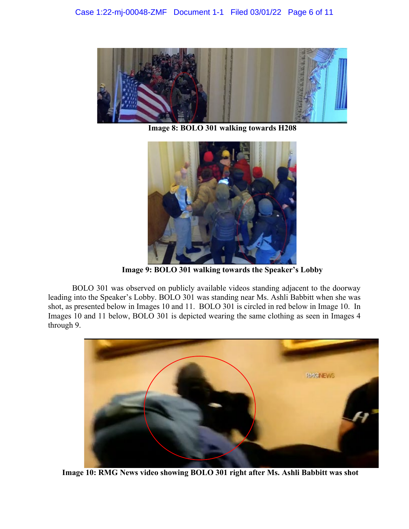

**Image 8: BOLO 301 walking towards H208**



**Image 9: BOLO 301 walking towards the Speaker's Lobby**

BOLO 301 was observed on publicly available videos standing adjacent to the doorway leading into the Speaker's Lobby. BOLO 301 was standing near Ms. Ashli Babbitt when she was shot, as presented below in Images 10 and 11. BOLO 301 is circled in red below in Image 10. In Images 10 and 11 below, BOLO 301 is depicted wearing the same clothing as seen in Images 4 through 9.



**Image 10: RMG News video showing BOLO 301 right after Ms. Ashli Babbitt was shot**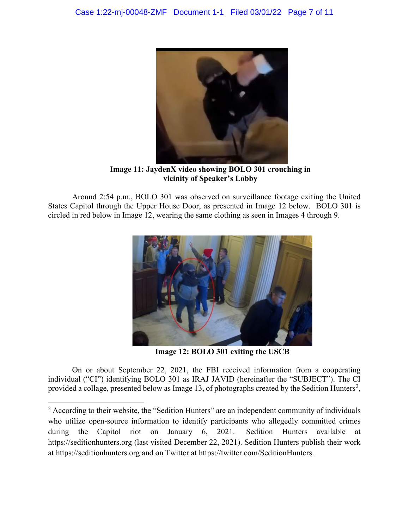

**Image 11: JaydenX video showing BOLO 301 crouching in vicinity of Speaker's Lobby**

Around 2:54 p.m., BOLO 301 was observed on surveillance footage exiting the United States Capitol through the Upper House Door, as presented in Image 12 below. BOLO 301 is circled in red below in Image 12, wearing the same clothing as seen in Images 4 through 9.



**Image 12: BOLO 301 exiting the USCB**

On or about September 22, 2021, the FBI received information from a cooperating individual ("CI") identifying BOLO 301 as IRAJ JAVID (hereinafter the "SUBJECT"). The CI provided a collage, presented below as Image 13, of photographs created by the Sedition Hunters<sup>[2](#page-6-0)</sup>,

<span id="page-6-0"></span><sup>&</sup>lt;sup>2</sup> According to their website, the "Sedition Hunters" are an independent community of individuals who utilize open-source information to identify participants who allegedly committed crimes during the Capitol riot on January 6, 2021. Sedition Hunters available at https://seditionhunters.org (last visited December 22, 2021). Sedition Hunters publish their work at [https://seditionhunters.org](https://usg02.safelinks.protection.office365.us/?url=https%3A%2F%2Fseditionhunters.org%2F&data=04%7C01%7CMAESPOSITO%40fbi.gov%7Ca068efa8318e4fa9bbba08d9c569428f%7C022914a9b95f4b7bbace551ce1a04071%7C0%7C0%7C637757878157425576%7CUnknown%7CTWFpbGZsb3d8eyJWIjoiMC4wLjAwMDAiLCJQIjoiV2luMzIiLCJBTiI6Ik1haWwiLCJXVCI6Mn0%3D%7C3000&sdata=tFFGiJ5taEVHUOqeBepgyCrqwBOIg1gI7A1pvVlNa5k%3D&reserved=0) and on Twitter at [https://twitter.com/SeditionHunters.](https://usg02.safelinks.protection.office365.us/?url=https%3A%2F%2Ftwitter.com%2FSeditionHunters&data=04%7C01%7CMAESPOSITO%40fbi.gov%7Ca068efa8318e4fa9bbba08d9c569428f%7C022914a9b95f4b7bbace551ce1a04071%7C0%7C0%7C637757878157425576%7CUnknown%7CTWFpbGZsb3d8eyJWIjoiMC4wLjAwMDAiLCJQIjoiV2luMzIiLCJBTiI6Ik1haWwiLCJXVCI6Mn0%3D%7C3000&sdata=M4SoNtG2TOkGl%2FxEmbyKaNEuME6ewHN1Gmt4WRJ7go0%3D&reserved=0)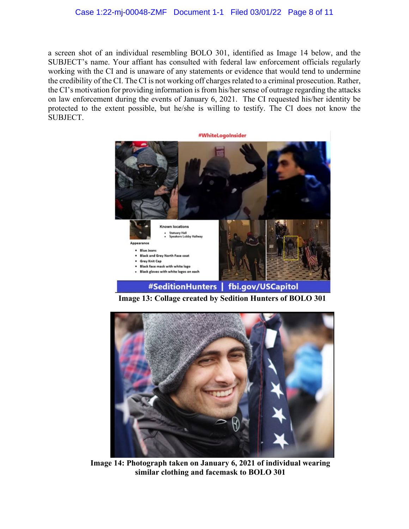a screen shot of an individual resembling BOLO 301, identified as Image 14 below, and the SUBJECT's name. Your affiant has consulted with federal law enforcement officials regularly working with the CI and is unaware of any statements or evidence that would tend to undermine the credibility of the CI. The CI is not working off charges related to a criminal prosecution. Rather, the CI's motivation for providing information is from his/her sense of outrage regarding the attacks on law enforcement during the events of January 6, 2021. The CI requested his/her identity be protected to the extent possible, but he/she is willing to testify. The CI does not know the SUBJECT.



**Image 13: Collage created by Sedition Hunters of BOLO 301**



**Image 14: Photograph taken on January 6, 2021 of individual wearing similar clothing and facemask to BOLO 301**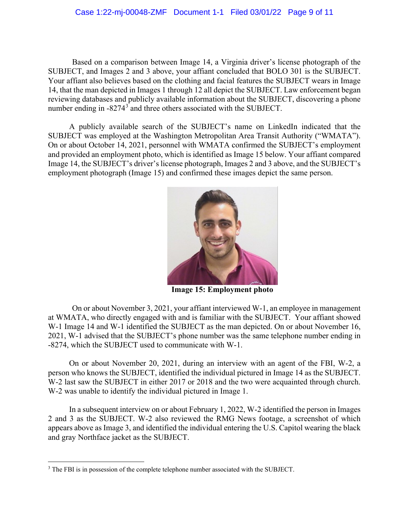Based on a comparison between Image 14, a Virginia driver's license photograph of the SUBJECT, and Images 2 and 3 above, your affiant concluded that BOLO 301 is the SUBJECT. Your affiant also believes based on the clothing and facial features the SUBJECT wears in Image 14, that the man depicted in Images 1 through 12 all depict the SUBJECT. Law enforcement began reviewing databases and publicly available information about the SUBJECT, discovering a phone number ending in -8274<sup>[3](#page-8-0)</sup> and three others associated with the SUBJECT.

A publicly available search of the SUBJECT's name on LinkedIn indicated that the SUBJECT was employed at the Washington Metropolitan Area Transit Authority ("WMATA"). On or about October 14, 2021, personnel with WMATA confirmed the SUBJECT's employment and provided an employment photo, which is identified as Image 15 below. Your affiant compared Image 14, the SUBJECT's driver's license photograph, Images 2 and 3 above, and the SUBJECT's employment photograph (Image 15) and confirmed these images depict the same person.



**Image 15: Employment photo**

On or about November 3, 2021, your affiant interviewed W-1, an employee in management at WMATA, who directly engaged with and is familiar with the SUBJECT. Your affiant showed W-1 Image 14 and W-1 identified the SUBJECT as the man depicted. On or about November 16, 2021, W-1 advised that the SUBJECT's phone number was the same telephone number ending in -8274, which the SUBJECT used to communicate with W-1.

On or about November 20, 2021, during an interview with an agent of the FBI, W-2, a person who knows the SUBJECT, identified the individual pictured in Image 14 as the SUBJECT. W-2 last saw the SUBJECT in either 2017 or 2018 and the two were acquainted through church. W-2 was unable to identify the individual pictured in Image 1.

In a subsequent interview on or about February 1, 2022, W-2 identified the person in Images 2 and 3 as the SUBJECT. W-2 also reviewed the RMG News footage, a screenshot of which appears above as Image 3, and identified the individual entering the U.S. Capitol wearing the black and gray Northface jacket as the SUBJECT.

<span id="page-8-0"></span><sup>&</sup>lt;sup>3</sup> The FBI is in possession of the complete telephone number associated with the SUBJECT.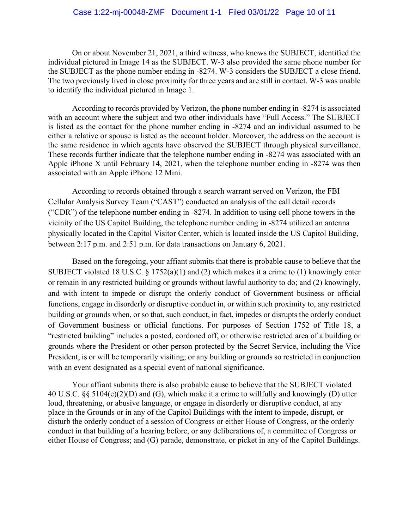On or about November 21, 2021, a third witness, who knows the SUBJECT, identified the individual pictured in Image 14 as the SUBJECT. W-3 also provided the same phone number for the SUBJECT as the phone number ending in -8274. W-3 considers the SUBJECT a close friend. The two previously lived in close proximity for three years and are still in contact. W-3 was unable to identify the individual pictured in Image 1.

According to records provided by Verizon, the phone number ending in -8274 is associated with an account where the subject and two other individuals have "Full Access." The SUBJECT is listed as the contact for the phone number ending in -8274 and an individual assumed to be either a relative or spouse is listed as the account holder. Moreover, the address on the account is the same residence in which agents have observed the SUBJECT through physical surveillance. These records further indicate that the telephone number ending in -8274 was associated with an Apple iPhone X until February 14, 2021, when the telephone number ending in -8274 was then associated with an Apple iPhone 12 Mini.

According to records obtained through a search warrant served on Verizon, the FBI Cellular Analysis Survey Team ("CAST") conducted an analysis of the call detail records ("CDR") of the telephone number ending in -8274. In addition to using cell phone towers in the vicinity of the US Capitol Building, the telephone number ending in -8274 utilized an antenna physically located in the Capitol Visitor Center, which is located inside the US Capitol Building, between 2:17 p.m. and 2:51 p.m. for data transactions on January 6, 2021.

Based on the foregoing, your affiant submits that there is probable cause to believe that the SUBJECT violated 18 U.S.C.  $\S 1752(a)(1)$  and (2) which makes it a crime to (1) knowingly enter or remain in any restricted building or grounds without lawful authority to do; and (2) knowingly, and with intent to impede or disrupt the orderly conduct of Government business or official functions, engage in disorderly or disruptive conduct in, or within such proximity to, any restricted building or grounds when, or so that, such conduct, in fact, impedes or disrupts the orderly conduct of Government business or official functions. For purposes of Section 1752 of Title 18, a "restricted building" includes a posted, cordoned off, or otherwise restricted area of a building or grounds where the President or other person protected by the Secret Service, including the Vice President, is or will be temporarily visiting; or any building or grounds so restricted in conjunction with an event designated as a special event of national significance.

Your affiant submits there is also probable cause to believe that the SUBJECT violated 40 U.S.C. §§ 5104(e)(2)(D) and (G), which make it a crime to willfully and knowingly (D) utter loud, threatening, or abusive language, or engage in disorderly or disruptive conduct, at any place in the Grounds or in any of the Capitol Buildings with the intent to impede, disrupt, or disturb the orderly conduct of a session of Congress or either House of Congress, or the orderly conduct in that building of a hearing before, or any deliberations of, a committee of Congress or either House of Congress; and (G) parade, demonstrate, or picket in any of the Capitol Buildings.